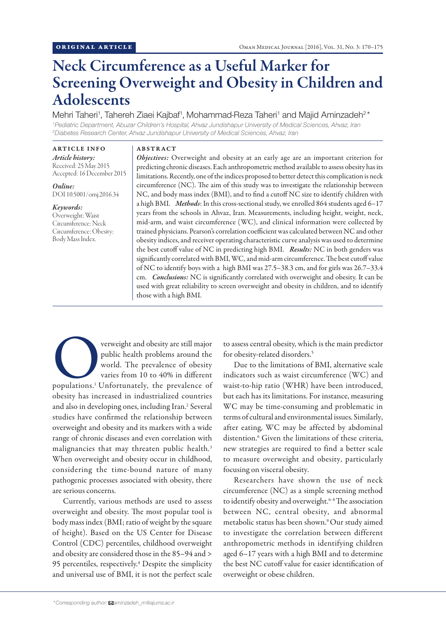# Neck Circumference as a Useful Marker for Screening Overweight and Obesity in Children and Adolescents

Mehri Taheri<sup>1</sup>, Tahereh Ziaei Kajbaf<sup>1</sup>, Mohammad-Reza Taheri<sup>1</sup> and Majid Aminzadeh<sup>2\*</sup> *1 Pediatric Department, Abuzar Children's Hospital, Ahvaz Jundishapur University of Medical Sciences, Ahvaz, Iran*

*2 Diabetes Research Center, Ahvaz Jundishapur University of Medical Sciences, Ahvaz, Iran* ARTICLE INFO

*Article history:* Received: 25 May 2015 Accepted: 16 December 2015

*Online:* DOI 10.5001/omj.2016.34

## *Keywords:*

Overweight; Waist Circumference; Neck Circumference; Obesity; Body Mass Index.

#### ABSTRACT

*Objectives:* Overweight and obesity at an early age are an important criterion for predicting chronic diseases. Each anthropometric method available to assess obesity has its limitations. Recently, one of the indices proposed to better detect this complication is neck circumference (NC). The aim of this study was to investigate the relationship between NC, and body mass index (BMI), and to find a cutoff NC size to identify children with a high BMI. *Methods*: In this cross-sectional study, we enrolled 864 students aged 6–17 years from the schools in Ahvaz, Iran. Measurements, including height, weight, neck, mid-arm, and waist circumference (WC), and clinical information were collected by trained physicians. Pearson's correlation coefficient was calculated between NC and other obesity indices, and receiver operating characteristic curve analysis was used to determine the best cutoff value of NC in predicting high BMI. *Results:* NC in both genders was significantly correlated with BMI, WC, and mid-arm circumference. The best cutoff value of NC to identify boys with a high BMI was 27.5–38.3 cm, and for girls was 26.7–33.4 cm. *Conclusions:* NC is significantly correlated with overweight and obesity. It can be used with great reliability to screen overweight and obesity in children, and to identify those with a high BMI.

verweight and obesity are still major<br>
public health problems around the<br>
world. The prevalence of obesity<br>
varies from 10 to 40% in different<br>
populations.<sup>1</sup> Unfortunately, the prevalence of public health problems around the world. The prevalence of obesity varies from 10 to 40% in different obesity has increased in industrialized countries and also in developing ones, including Iran.<sup>2</sup> Several studies have confirmed the relationship between overweight and obesity and its markers with a wide range of chronic diseases and even correlation with malignancies that may threaten public health.<sup>3</sup> When overweight and obesity occur in childhood, considering the time-bound nature of many pathogenic processes associated with obesity, there are serious concerns.

Currently, various methods are used to assess overweight and obesity. The most popular tool is body mass index (BMI; ratio of weight by the square of height). Based on the US Center for Disease Control (CDC) percentiles, childhood overweight and obesity are considered those in the 85–94 and > 95 percentiles, respectively.<sup>4</sup> Despite the simplicity and universal use of BMI, it is not the perfect scale

to assess central obesity, which is the main predictor for obesity-related disorders.5

Due to the limitations of BMI, alternative scale indicators such as waist circumference (WC) and waist-to-hip ratio (WHR) have been introduced, but each has its limitations. For instance, measuring WC may be time-consuming and problematic in terms of cultural and environmental issues. Similarly, after eating, WC may be affected by abdominal distention.<sup>6</sup> Given the limitations of these criteria, new strategies are required to find a better scale to measure overweight and obesity, particularly focusing on visceral obesity.

Researchers have shown the use of neck circumference (NC) as a simple screening method to identify obesity and overweight.<sup>6-8</sup> The association between NC, central obesity, and abnormal metabolic status has been shown.9 Our study aimed to investigate the correlation between different anthropometric methods in identifying children aged 6–17 years with a high BMI and to determine the best NC cutoff value for easier identification of overweight or obese children.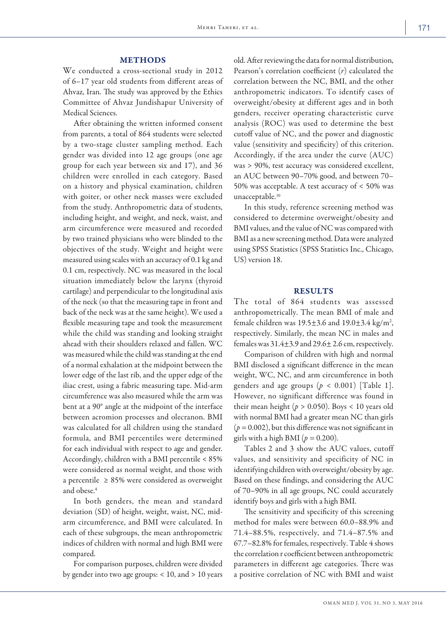## METHODS

We conducted a cross-sectional study in 2012 of 6–17 year old students from different areas of Ahvaz, Iran. The study was approved by the Ethics Committee of Ahvaz Jundishapur University of Medical Sciences.

After obtaining the written informed consent from parents, a total of 864 students were selected by a two-stage cluster sampling method. Each gender was divided into 12 age groups (one age group for each year between six and 17), and 36 children were enrolled in each category. Based on a history and physical examination, children with goiter, or other neck masses were excluded from the study. Anthropometric data of students, including height, and weight, and neck, waist, and arm circumference were measured and recorded by two trained physicians who were blinded to the objectives of the study. Weight and height were measured using scales with an accuracy of 0.1 kg and 0.1 cm, respectively. NC was measured in the local situation immediately below the larynx (thyroid cartilage) and perpendicular to the longitudinal axis of the neck (so that the measuring tape in front and back of the neck was at the same height). We used a flexible measuring tape and took the measurement while the child was standing and looking straight ahead with their shoulders relaxed and fallen. WC was measured while the child was standing at the end of a normal exhalation at the midpoint between the lower edge of the last rib, and the upper edge of the iliac crest, using a fabric measuring tape. Mid-arm circumference was also measured while the arm was bent at a 90° angle at the midpoint of the interface between acromion processes and olecranon. BMI was calculated for all children using the standard formula, and BMI percentiles were determined for each individual with respect to age and gender. Accordingly, children with a BMI percentile < 85% were considered as normal weight, and those with a percentile  $\geq$  85% were considered as overweight and obese.<sup>4</sup>

In both genders, the mean and standard deviation (SD) of height, weight, waist, NC, midarm circumference, and BMI were calculated. In each of these subgroups, the mean anthropometric indices of children with normal and high BMI were compared.

For comparison purposes, children were divided by gender into two age groups: < 10, and > 10 years old. After reviewing the data for normal distribution, Pearson's correlation coefficient (*r*) calculated the correlation between the NC, BMI, and the other anthropometric indicators. To identify cases of overweight/obesity at different ages and in both genders, receiver operating characteristic curve analysis (ROC) was used to determine the best cutoff value of NC, and the power and diagnostic value (sensitivity and specificity) of this criterion. Accordingly, if the area under the curve (AUC) was > 90%, test accuracy was considered excellent, an AUC between 90–70% good, and between 70– 50% was acceptable. A test accuracy of < 50% was unacceptable.<sup>10</sup>

In this study, reference screening method was considered to determine overweight/obesity and BMI values, and the value of NC was compared with BMI as a new screening method. Data were analyzed using SPSS Statistics (SPSS Statistics Inc., Chicago, US) version 18.

# **RESULTS**

The total of 864 students was assessed anthropometrically. The mean BMI of male and female children was  $19.5 \pm 3.6$  and  $19.0 \pm 3.4$  kg/m<sup>2</sup>, respectively. Similarly, the mean NC in males and females was 31.4±3.9 and 29.6± 2.6 cm, respectively.

Comparison of children with high and normal BMI disclosed a significant difference in the mean weight, WC, NC, and arm circumference in both genders and age groups  $(p < 0.001)$  [Table 1]. However, no significant difference was found in their mean height ( $p > 0.050$ ). Boys < 10 years old with normal BMI had a greater mean NC than girls  $(p = 0.002)$ , but this difference was not significant in girls with a high BMI ( $p = 0.200$ ).

Tables 2 and 3 show the AUC values, cutoff values, and sensitivity and specificity of NC in identifying children with overweight/obesity by age. Based on these findings, and considering the AUC of 70–90% in all age groups, NC could accurately identify boys and girls with a high BMI.

The sensitivity and specificity of this screening method for males were between 60.0–88.9% and 71.4–88.5%, respectively, and 71.4–87.5% and 67.7–82.8% for females, respectively. Table 4 shows the correlation r coefficient between anthropometric parameters in different age categories. There was a positive correlation of NC with BMI and waist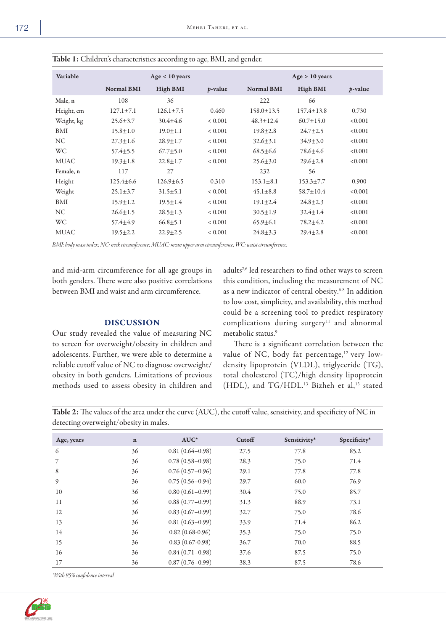| Variable    |                   | Age < 10 years  |                 | Age > 10 years    |                  |                 |  |  |
|-------------|-------------------|-----------------|-----------------|-------------------|------------------|-----------------|--|--|
|             | <b>Normal BMI</b> | <b>High BMI</b> | <i>p</i> -value | <b>Normal BMI</b> | <b>High BMI</b>  | <i>p</i> -value |  |  |
| Male, n     | 108               | 36              |                 | 222               | 66               |                 |  |  |
| Height, cm  | $127.1 \pm 7.1$   | $126.1 + 7.5$   | 0.460           | $158.0 \pm 13.5$  | $157.4 \pm 13.8$ | 0.730           |  |  |
| Weight, kg  | $25.6 \pm 3.7$    | $30.4 + 4.6$    | ${}< 0.001$     | $48.3 + 12.4$     | $60.7 \pm 15.0$  | < 0.001         |  |  |
| BMI         | $15.8 \pm 1.0$    | $19.0 + 1.1$    | ${}< 0.001$     | $19.8 + 2.8$      | $24.7 + 2.5$     | < 0.001         |  |  |
| <b>NC</b>   | $27.3 \pm 1.6$    | $28.9 \pm 1.7$  | ${}< 0.001$     | $32.6 \pm 3.1$    | $34.9 \pm 3.0$   | < 0.001         |  |  |
| <b>WC</b>   | $57.4 \pm 5.5$    | $67.7 \pm 5.0$  | ${}< 0.001$     | $68.5 \pm 6.6$    | 78.6+4.6         | < 0.001         |  |  |
| <b>MUAC</b> | $19.3 \pm 1.8$    | $22.8 + 1.7$    | ${}< 0.001$     | $25.6 + 3.0$      | $29.6 + 2.8$     | < 0.001         |  |  |
| Female, n   | 117               | 27              |                 | 232               | 56               |                 |  |  |
| Height      | $125.4 + 6.6$     | $126.9 + 6.5$   | 0.310           | $153.1 \pm 8.1$   | $153.3 + 7.7$    | 0.900           |  |  |
| Weight      | $25.1 \pm 3.7$    | $31.5 \pm 5.1$  | ${}< 0.001$     | $45.1 \pm 8.8$    | $58.7 + 10.4$    | < 0.001         |  |  |
| BMI         | $15.9 \pm 1.2$    | $19.5 \pm 1.4$  | ${}< 0.001$     | $19.1 \pm 2.4$    | $24.8 + 2.3$     | < 0.001         |  |  |
| <b>NC</b>   | $26.6 \pm 1.5$    | $28.5 \pm 1.3$  | ${}< 0.001$     | $30.5 \pm 1.9$    | $32.4 + 1.4$     | < 0.001         |  |  |
| <b>WC</b>   | $57.4 \pm 4.9$    | $66.8 \pm 5.1$  | ${}< 0.001$     | $65.9 \pm 6.1$    | $78.2 \pm 4.2$   | < 0.001         |  |  |
| <b>MUAC</b> | $19.5 \pm 2.2$    | $22.9 \pm 2.5$  | ${}< 0.001$     | $24.8 \pm 3.3$    | $29.4 + 2.8$     | < 0.001         |  |  |

Table 1: Children's characteristics according to age, BMI, and gender.

*BMI: body mass index; NC: neck circumference; MUAC: mean upper arm circumference; WC: waist circumference.*

and mid-arm circumference for all age groups in both genders. There were also positive correlations between BMI and waist and arm circumference.

## DISCUSSION

Our study revealed the value of measuring NC to screen for overweight/obesity in children and adolescents. Further, we were able to determine a reliable cutoff value of NC to diagnose overweight/ obesity in both genders. Limitations of previous methods used to assess obesity in children and adults<sup>2,6</sup> led researchers to find other ways to screen this condition, including the measurement of NC as a new indicator of central obesity.<sup>6-8</sup> In addition to low cost, simplicity, and availability, this method could be a screening tool to predict respiratory complications during surgery<sup>11</sup> and abnormal metabolic status.<sup>9</sup>

There is a significant correlation between the value of NC, body fat percentage,<sup>12</sup> very lowdensity lipoprotein (VLDL), triglyceride (TG), total cholesterol (TC)/high density lipoprotein (HDL), and TG/HDL.13 Bizheh et al, <sup>13</sup> stated

Table 2: The values of the area under the curve (AUC), the cutoff value, sensitivity, and specificity of NC in detecting overweight/obesity in males.

| Age, years | $\mathbf n$ | $AUC^*$             | Cutoff | Sensitivity* | Specificity* |
|------------|-------------|---------------------|--------|--------------|--------------|
| 6          | 36          | $0.81(0.64 - 0.98)$ | 27.5   | 77.8         | 85.2         |
| 7          | 36          | $0.78(0.58 - 0.98)$ | 28.3   | 75.0         | 71.4         |
| 8          | 36          | $0.76(0.57-0.96)$   | 29.1   | 77.8         | 77.8         |
| 9          | 36          | $0.75(0.56 - 0.94)$ | 29.7   | 60.0         | 76.9         |
| 10         | 36          | $0.80(0.61-0.99)$   | 30.4   | 75.0         | 85.7         |
| 11         | 36          | $0.88(0.77-0.99)$   | 31.3   | 88.9         | 73.1         |
| 12         | 36          | $0.83(0.67-0.99)$   | 32.7   | 75.0         | 78.6         |
| 13         | 36          | $0.81(0.63-0.99)$   | 33.9   | 71.4         | 86.2         |
| 14         | 36          | $0.82(0.68-0.96)$   | 35.3   | 75.0         | 75.0         |
| 15         | 36          | $0.83(0.67-0.98)$   | 36.7   | 70.0         | 88.5         |
| 16         | 36          | $0.84(0.71-0.98)$   | 37.6   | 87.5         | 75.0         |
| 17         | 36          | $0.87(0.76 - 0.99)$ | 38.3   | 87.5         | 78.6         |

*\*With 95% confidence interval.*

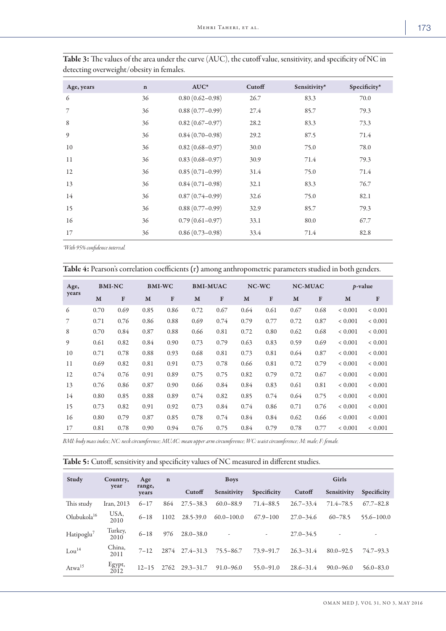| M.<br>۰. |
|----------|
|          |

| Age, years | $\mathbf n$ | $AUC^*$             | Cutoff | Sensitivity* | Specificity* |
|------------|-------------|---------------------|--------|--------------|--------------|
| 6          | 36          | $0.80(0.62 - 0.98)$ | 26.7   | 83.3         | 70.0         |
| 7          | 36          | $0.88(0.77-0.99)$   | 27.4   | 85.7         | 79.3         |
| 8          | 36          | $0.82(0.67 - 0.97)$ | 28.2   | 83.3         | 73.3         |
| 9          | 36          | $0.84(0.70-0.98)$   | 29.2   | 87.5         | 71.4         |
| 10         | 36          | $0.82(0.68 - 0.97)$ | 30.0   | 75.0         | 78.0         |
| 11         | 36          | $0.83(0.68 - 0.97)$ | 30.9   | 71.4         | 79.3         |
| 12         | 36          | $0.85(0.71-0.99)$   | 31.4   | 75.0         | 71.4         |
| 13         | 36          | $0.84(0.71-0.98)$   | 32.1   | 83.3         | 76.7         |
| 14         | 36          | $0.87(0.74 - 0.99)$ | 32.6   | 75.0         | 82.1         |
| 15         | 36          | $0.88(0.77-0.99)$   | 32.9   | 85.7         | 79.3         |
| 16         | 36          | $0.79(0.61 - 0.97)$ | 33.1   | 80.0         | 67.7         |
| 17         | 36          | $0.86(0.73 - 0.98)$ | 33.4   | 71.4         | 82.8         |

| Table 3: The values of the area under the curve (AUC), the cutoff value, sensitivity, and specificity of NC in |
|----------------------------------------------------------------------------------------------------------------|
| detecting overweight/obesity in females.                                                                       |

*\*With 95% confidence interval.*

| Table 4: Pearson's correlation coefficients (r) among anthropometric parameters studied in both genders. |               |      |               |              |                 |      |      |       |      |              |             |                 |  |
|----------------------------------------------------------------------------------------------------------|---------------|------|---------------|--------------|-----------------|------|------|-------|------|--------------|-------------|-----------------|--|
| Age,<br>years                                                                                            | <b>BMI-NC</b> |      | <b>BMI-WC</b> |              | <b>BMI-MUAC</b> |      |      | NC-WC |      | NC-MUAC      |             | <i>p</i> -value |  |
|                                                                                                          | M             | F    | M             | $\mathbf{F}$ | M               | F    | M    | F     | M    | $\mathbf{F}$ | M           | F               |  |
| 6                                                                                                        | 0.70          | 0.69 | 0.85          | 0.86         | 0.72            | 0.67 | 0.64 | 0.61  | 0.67 | 0.68         | ${}< 0.001$ | ${}< 0.001$     |  |
|                                                                                                          | 0.71          | 0.76 | 0.86          | 0.88         | 0.69            | 0.74 | 0.79 | 0.77  | 0.72 | 0.87         | ${}< 0.001$ | ${}< 0.001$     |  |
| 8                                                                                                        | 0.70          | 0.84 | 0.87          | 0.88         | 0.66            | 0.81 | 0.72 | 0.80  | 0.62 | 0.68         | ${}< 0.001$ | ${}< 0.001$     |  |
| 9                                                                                                        | 0.61          | 0.82 | 0.84          | 0.90         | 0.73            | 0.79 | 0.63 | 0.83  | 0.59 | 0.69         | ${}< 0.001$ | ${}< 0.001$     |  |
| 10                                                                                                       | 0.71          | 0.78 | 0.88          | 0.93         | 0.68            | 0.81 | 0.73 | 0.81  | 0.64 | 0.87         | ${}< 0.001$ | ${}< 0.001$     |  |
| 11                                                                                                       | 0.69          | 0.82 | 0.81          | 0.91         | 0.73            | 0.78 | 0.66 | 0.81  | 0.72 | 0.79         | ${}< 0.001$ | ${}< 0.001$     |  |
| 12                                                                                                       | 0.74          | 0.76 | 0.91          | 0.89         | 0.75            | 0.75 | 0.82 | 0.79  | 0.72 | 0.67         | ${}< 0.001$ | ${}< 0.001$     |  |
| 13                                                                                                       | 0.76          | 0.86 | 0.87          | 0.90         | 0.66            | 0.84 | 0.84 | 0.83  | 0.61 | 0.81         | ${}< 0.001$ | ${}< 0.001$     |  |
| 14                                                                                                       | 0.80          | 0.85 | 0.88          | 0.89         | 0.74            | 0.82 | 0.85 | 0.74  | 0.64 | 0.75         | ${}< 0.001$ | ${}< 0.001$     |  |
| 15                                                                                                       | 0.73          | 0.82 | 0.91          | 0.92         | 0.73            | 0.84 | 0.74 | 0.86  | 0.71 | 0.76         | ${}< 0.001$ | ${}< 0.001$     |  |
| 16                                                                                                       | 0.80          | 0.79 | 0.87          | 0.85         | 0.78            | 0.74 | 0.84 | 0.84  | 0.62 | 0.66         | ${}< 0.001$ | ${}< 0.001$     |  |
| 17                                                                                                       | 0.81          | 0.78 | 0.90          | 0.94         | 0.76            | 0.75 | 0.84 | 0.79  | 0.78 | 0.77         | ${}< 0.001$ | ${}< 0.001$     |  |

*BMI: body mass index; NC: neck circumference; MUAC: mean upper arm circumference; WC: waist circumference; M: male; F: female.*

| Study                   | Country,<br>year | Age<br>range, | $\mathbf n$ |                | <b>Boys</b>    |               | Girls         |               |                |  |
|-------------------------|------------------|---------------|-------------|----------------|----------------|---------------|---------------|---------------|----------------|--|
|                         |                  | years         |             | Cutoff         | Sensitivity    | Specificity   | Cutoff        | Sensitivity   | Specificity    |  |
| This study              | Iran, 2013       | $6 - 17$      | 864         | $27.5 - 38.3$  | $60.0 - 88.9$  | 71.4–88.5     | $26.7 - 33.4$ | 71.4–78.5     | $67.7 - 82.8$  |  |
| Olubukola <sup>16</sup> | USA,<br>2010     | $6 - 18$      | 1102        | 28.5-39.0      | $60.0 - 100.0$ | $67.9 - 100$  | $27.0 - 34.6$ | $60 - 78.5$   | $55.6 - 100.0$ |  |
| Hatipoglu <sup>7</sup>  | Turkey,<br>2010  | $6 - 18$      | 976         | $28.0 - 38.0$  |                |               | $27.0 - 34.5$ |               |                |  |
| Lou <sup>14</sup>       | China,<br>2011   | $7 - 12$      |             | 2874 27.4-31.3 | 75.5–86.7      | 73.9–91.7     | $26.3 - 31.4$ | $80.0 - 92.5$ | $74.7 - 93.3$  |  |
| Atwa <sup>15</sup>      | Egypt,<br>2012   | $12 - 15$     | 2762        | $29.3 - 31.7$  | $91.0 - 96.0$  | $55.0 - 91.0$ | $28.6 - 31.4$ | $90.0 - 96.0$ | $56.0 - 83.0$  |  |

Table 5: Cutoff, sensitivity and specificity values of NC measured in different studies.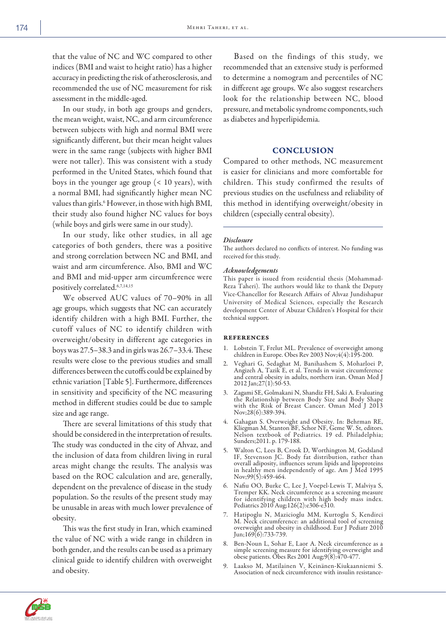that the value of NC and WC compared to other indices (BMI and waist to height ratio) has a higher accuracy in predicting the risk of atherosclerosis, and recommended the use of NC measurement for risk assessment in the middle-aged.

In our study, in both age groups and genders, the mean weight, waist, NC, and arm circumference between subjects with high and normal BMI were significantly different, but their mean height values were in the same range (subjects with higher BMI were not taller). This was consistent with a study performed in the United States, which found that boys in the younger age group (< 10 years), with a normal BMI, had significantly higher mean NC values than girls.<sup>6</sup> However, in those with high BMI, their study also found higher NC values for boys (while boys and girls were same in our study).

In our study, like other studies, in all age categories of both genders, there was a positive and strong correlation between NC and BMI, and waist and arm circumference. Also, BMI and WC and BMI and mid-upper arm circumference were positively correlated.6,7,14,15

We observed AUC values of 70–90% in all age groups, which suggests that NC can accurately identify children with a high BMI. Further, the cutoff values of NC to identify children with overweight/obesity in different age categories in boys was 27.5–38.3 and in girls was 26.7–33.4. These results were close to the previous studies and small differences between the cutoffs could be explained by ethnic variation [Table 5]. Furthermore, differences in sensitivity and specificity of the NC measuring method in different studies could be due to sample size and age range.

There are several limitations of this study that should be considered in the interpretation of results. The study was conducted in the city of Ahvaz, and the inclusion of data from children living in rural areas might change the results. The analysis was based on the ROC calculation and are, generally, dependent on the prevalence of disease in the study population. So the results of the present study may be unusable in areas with much lower prevalence of obesity.

This was the first study in Iran, which examined the value of NC with a wide range in children in both gender, and the results can be used as a primary clinical guide to identify children with overweight and obesity.

Based on the findings of this study, we recommended that an extensive study is performed to determine a nomogram and percentiles of NC in different age groups. We also suggest researchers look for the relationship between NC, blood pressure, and metabolic syndrome components, such as diabetes and hyperlipidemia.

## **CONCLUSION**

Compared to other methods, NC measurement is easier for clinicians and more comfortable for children. This study confirmed the results of previous studies on the usefulness and reliability of this method in identifying overweight/obesity in children (especially central obesity).

### *Disclosure*

The authors declared no conflicts of interest. No funding was received for this study.

#### *Acknowledgements*

This paper is issued from residential thesis (Mohammad-Reza Taheri). The authors would like to thank the Deputy Vice-Chancellor for Research Affairs of Ahvaz Jundishapur University of Medical Sciences, especially the Research development Center of Abuzar Children's Hospital for their technical support.

#### **REFERENCES**

- 1. Lobstein T, Frelut ML. Prevalence of overweight among children in Europe. Obes Rev 2003 Nov;4(4):195-200.
- 2. Veghari G, Sedaghat M, Banihashem S, Moharloei P, Angizeh A, Tazik E, et al. Trends in waist circumference and central obesity in adults, northern iran. Oman Med J 2012 Jan;27(1):50-53.
- 3. Zagami SE, Golmakani N, Shandiz FH, Saki A. Evaluating the Relationship between Body Size and Body Shape with the Risk of Breast Cancer. Oman Med J 2013 Nov;28(6):389-394.
- 4. Gahagan S. Overweight and Obesity. In: Behrman RE, Kliegman M, Stanton BF, Schor NF, Geme W. St, editors. Nelson textbook of Pediatrics. 19 ed. Philadelphia; Sunders;2011. p. 179-188.
- 5. Walton C, Lees B, Crook D, Worthington M, Godsland IF, Stevenson JC. Body fat distribution, rather than overall adiposity, influences serum lipids and lipoproteins in healthy men independently of age. Am J Med 1995 Nov;99(5):459-464.
- 6. Nafiu OO, Burke C, Lee J, Voepel-Lewis T, Malviya S, Tremper KK. Neck circumference as a screening measure for identifying children with high body mass index. Pediatrics 2010 Aug;126(2):e306-e310.
- 7. Hatipoglu N, Mazicioglu MM, Kurtoglu S, Kendirci M. Neck circumference: an additional tool of screening overweight and obesity in childhood. Eur J Pediatr 2010 Jun;169(6):733-739.
- 8. Ben-Noun L, Sohar E, Laor A. Neck circumference as a simple screening measure for identifying overweight and obese patients. Obes Res 2001 Aug;9(8):470-477.
- 9. Laakso M, Matilainen V, Keinänen-Kiukaanniemi S. Association of neck circumference with insulin resistance-